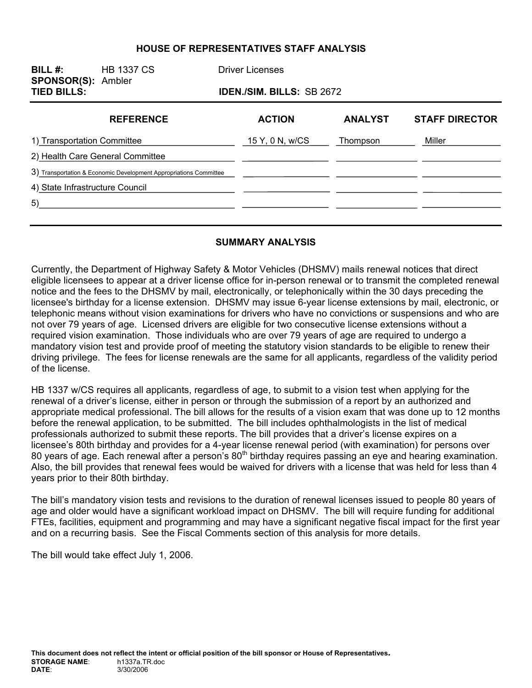#### **HOUSE OF REPRESENTATIVES STAFF ANALYSIS**

| BILL $#$ :<br><b>SPONSOR(S): Ambler</b><br><b>TIED BILLS:</b> | <b>HB 1337 CS</b>                                                 | <b>Driver Licenses</b> | <b>IDEN./SIM. BILLS: SB 2672</b> |                       |  |
|---------------------------------------------------------------|-------------------------------------------------------------------|------------------------|----------------------------------|-----------------------|--|
|                                                               | <b>REFERENCE</b>                                                  | <b>ACTION</b>          | <b>ANALYST</b>                   | <b>STAFF DIRECTOR</b> |  |
| 1) Transportation Committee                                   |                                                                   | 15 Y, 0 N, w/CS        | Thompson                         | Miller                |  |
|                                                               | 2) Health Care General Committee                                  |                        |                                  |                       |  |
|                                                               | 3) Transportation & Economic Development Appropriations Committee |                        |                                  |                       |  |
| 4) State Infrastructure Council                               |                                                                   |                        |                                  |                       |  |
| 5)                                                            |                                                                   |                        |                                  |                       |  |
|                                                               |                                                                   |                        |                                  |                       |  |

#### **SUMMARY ANALYSIS**

Currently, the Department of Highway Safety & Motor Vehicles (DHSMV) mails renewal notices that direct eligible licensees to appear at a driver license office for in-person renewal or to transmit the completed renewal notice and the fees to the DHSMV by mail, electronically, or telephonically within the 30 days preceding the licensee's birthday for a license extension. DHSMV may issue 6-year license extensions by mail, electronic, or telephonic means without vision examinations for drivers who have no convictions or suspensions and who are not over 79 years of age. Licensed drivers are eligible for two consecutive license extensions without a required vision examination. Those individuals who are over 79 years of age are required to undergo a mandatory vision test and provide proof of meeting the statutory vision standards to be eligible to renew their driving privilege. The fees for license renewals are the same for all applicants, regardless of the validity period of the license.

HB 1337 w/CS requires all applicants, regardless of age, to submit to a vision test when applying for the renewal of a driver's license, either in person or through the submission of a report by an authorized and appropriate medical professional. The bill allows for the results of a vision exam that was done up to 12 months before the renewal application, to be submitted. The bill includes ophthalmologists in the list of medical professionals authorized to submit these reports. The bill provides that a driver's license expires on a licensee's 80th birthday and provides for a 4-year license renewal period (with examination) for persons over 80 years of age. Each renewal after a person's 80<sup>th</sup> birthday requires passing an eye and hearing examination. Also, the bill provides that renewal fees would be waived for drivers with a license that was held for less than 4 years prior to their 80th birthday.

The bill's mandatory vision tests and revisions to the duration of renewal licenses issued to people 80 years of age and older would have a significant workload impact on DHSMV. The bill will require funding for additional FTEs, facilities, equipment and programming and may have a significant negative fiscal impact for the first year and on a recurring basis. See the Fiscal Comments section of this analysis for more details.

The bill would take effect July 1, 2006.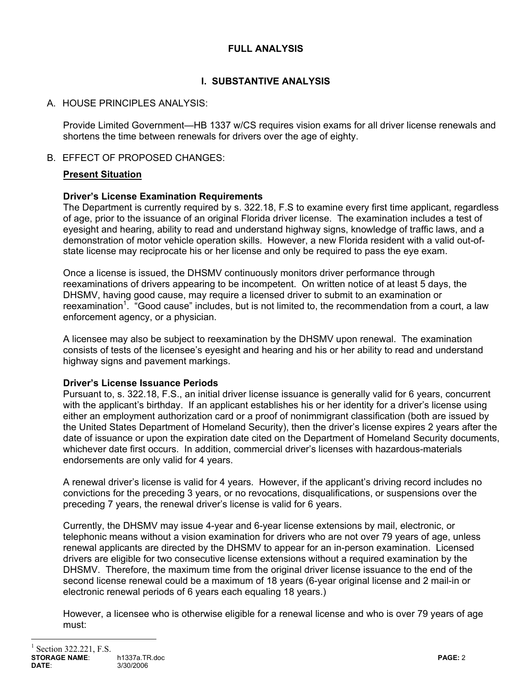# **FULL ANALYSIS**

# **I. SUBSTANTIVE ANALYSIS**

# A. HOUSE PRINCIPLES ANALYSIS:

Provide Limited Government—HB 1337 w/CS requires vision exams for all driver license renewals and shortens the time between renewals for drivers over the age of eighty.

# B. EFFECT OF PROPOSED CHANGES:

# **Present Situation**

# **Driver's License Examination Requirements**

The Department is currently required by s. 322.18, F.S to examine every first time applicant, regardless of age, prior to the issuance of an original Florida driver license. The examination includes a test of eyesight and hearing, ability to read and understand highway signs, knowledge of traffic laws, and a demonstration of motor vehicle operation skills. However, a new Florida resident with a valid out-ofstate license may reciprocate his or her license and only be required to pass the eye exam.

Once a license is issued, the DHSMV continuously monitors driver performance through reexaminations of drivers appearing to be incompetent. On written notice of at least 5 days, the DHSMV, having good cause, may require a licensed driver to submit to an examination or reexamination<sup>1</sup>. "Good cause" includes, but is not limited to, the recommendation from a court, a law enforcement agency, or a physician.

A licensee may also be subject to reexamination by the DHSMV upon renewal. The examination consists of tests of the licensee's eyesight and hearing and his or her ability to read and understand highway signs and pavement markings.

### **Driver's License Issuance Periods**

Pursuant to, s. 322.18, F.S., an initial driver license issuance is generally valid for 6 years, concurrent with the applicant's birthday. If an applicant establishes his or her identity for a driver's license using either an employment authorization card or a proof of nonimmigrant classification (both are issued by the United States Department of Homeland Security), then the driver's license expires 2 years after the date of issuance or upon the expiration date cited on the Department of Homeland Security documents, whichever date first occurs. In addition, commercial driver's licenses with hazardous-materials endorsements are only valid for 4 years.

A renewal driver's license is valid for 4 years. However, if the applicant's driving record includes no convictions for the preceding 3 years, or no revocations, disqualifications, or suspensions over the preceding 7 years, the renewal driver's license is valid for 6 years.

Currently, the DHSMV may issue 4-year and 6-year license extensions by mail, electronic, or telephonic means without a vision examination for drivers who are not over 79 years of age, unless renewal applicants are directed by the DHSMV to appear for an in-person examination. Licensed drivers are eligible for two consecutive license extensions without a required examination by the DHSMV. Therefore, the maximum time from the original driver license issuance to the end of the second license renewal could be a maximum of 18 years (6-year original license and 2 mail-in or electronic renewal periods of 6 years each equaling 18 years.)

However, a licensee who is otherwise eligible for a renewal license and who is over 79 years of age must:

 $\overline{a}$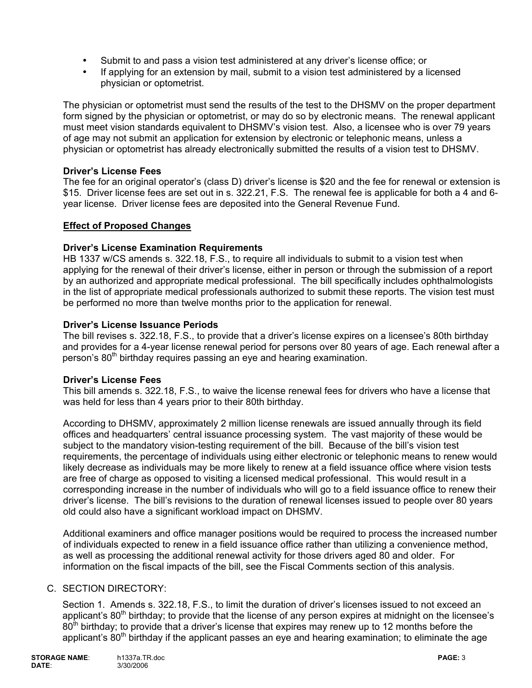- Submit to and pass a vision test administered at any driver's license office; or
- If applying for an extension by mail, submit to a vision test administered by a licensed physician or optometrist.

The physician or optometrist must send the results of the test to the DHSMV on the proper department form signed by the physician or optometrist, or may do so by electronic means. The renewal applicant must meet vision standards equivalent to DHSMV's vision test. Also, a licensee who is over 79 years of age may not submit an application for extension by electronic or telephonic means, unless a physician or optometrist has already electronically submitted the results of a vision test to DHSMV.

### **Driver's License Fees**

The fee for an original operator's (class D) driver's license is \$20 and the fee for renewal or extension is \$15. Driver license fees are set out in s. 322.21, F.S. The renewal fee is applicable for both a 4 and 6 year license. Driver license fees are deposited into the General Revenue Fund.

### **Effect of Proposed Changes**

#### **Driver's License Examination Requirements**

HB 1337 w/CS amends s. 322.18, F.S., to require all individuals to submit to a vision test when applying for the renewal of their driver's license, either in person or through the submission of a report by an authorized and appropriate medical professional. The bill specifically includes ophthalmologists in the list of appropriate medical professionals authorized to submit these reports. The vision test must be performed no more than twelve months prior to the application for renewal.

#### **Driver's License Issuance Periods**

The bill revises s. 322.18, F.S., to provide that a driver's license expires on a licensee's 80th birthday and provides for a 4-year license renewal period for persons over 80 years of age. Each renewal after a person's 80<sup>th</sup> birthday requires passing an eye and hearing examination.

#### **Driver's License Fees**

This bill amends s. 322.18, F.S., to waive the license renewal fees for drivers who have a license that was held for less than 4 years prior to their 80th birthday.

According to DHSMV, approximately 2 million license renewals are issued annually through its field offices and headquarters' central issuance processing system. The vast majority of these would be subject to the mandatory vision-testing requirement of the bill. Because of the bill's vision test requirements, the percentage of individuals using either electronic or telephonic means to renew would likely decrease as individuals may be more likely to renew at a field issuance office where vision tests are free of charge as opposed to visiting a licensed medical professional. This would result in a corresponding increase in the number of individuals who will go to a field issuance office to renew their driver's license. The bill's revisions to the duration of renewal licenses issued to people over 80 years old could also have a significant workload impact on DHSMV.

Additional examiners and office manager positions would be required to process the increased number of individuals expected to renew in a field issuance office rather than utilizing a convenience method, as well as processing the additional renewal activity for those drivers aged 80 and older. For information on the fiscal impacts of the bill, see the Fiscal Comments section of this analysis.

#### C. SECTION DIRECTORY:

Section 1. Amends s. 322.18, F.S., to limit the duration of driver's licenses issued to not exceed an applicant's  $80<sup>th</sup>$  birthday; to provide that the license of any person expires at midnight on the licensee's 80<sup>th</sup> birthday; to provide that a driver's license that expires may renew up to 12 months before the applicant's  $80<sup>th</sup>$  birthday if the applicant passes an eye and hearing examination; to eliminate the age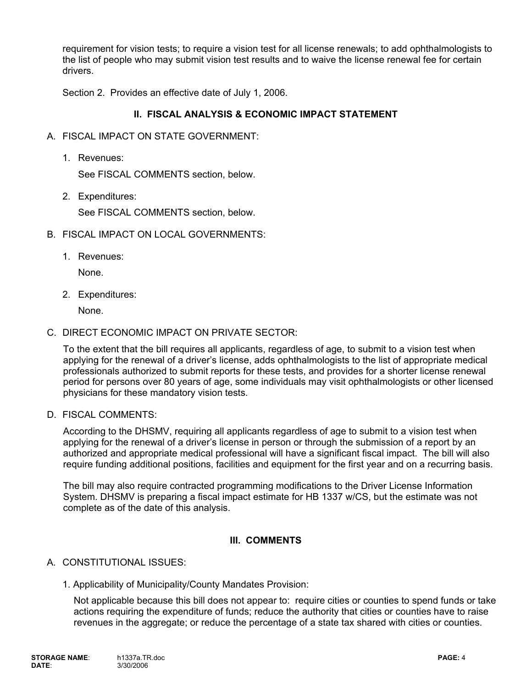requirement for vision tests; to require a vision test for all license renewals; to add ophthalmologists to the list of people who may submit vision test results and to waive the license renewal fee for certain drivers.

Section 2. Provides an effective date of July 1, 2006.

### **II. FISCAL ANALYSIS & ECONOMIC IMPACT STATEMENT**

- A. FISCAL IMPACT ON STATE GOVERNMENT:
	- 1. Revenues:

See FISCAL COMMENTS section, below.

2. Expenditures:

See FISCAL COMMENTS section, below.

- B. FISCAL IMPACT ON LOCAL GOVERNMENTS:
	- 1. Revenues:

None.

2. Expenditures:

None.

C. DIRECT ECONOMIC IMPACT ON PRIVATE SECTOR:

To the extent that the bill requires all applicants, regardless of age, to submit to a vision test when applying for the renewal of a driver's license, adds ophthalmologists to the list of appropriate medical professionals authorized to submit reports for these tests, and provides for a shorter license renewal period for persons over 80 years of age, some individuals may visit ophthalmologists or other licensed physicians for these mandatory vision tests.

D. FISCAL COMMENTS:

According to the DHSMV, requiring all applicants regardless of age to submit to a vision test when applying for the renewal of a driver's license in person or through the submission of a report by an authorized and appropriate medical professional will have a significant fiscal impact. The bill will also require funding additional positions, facilities and equipment for the first year and on a recurring basis.

The bill may also require contracted programming modifications to the Driver License Information System. DHSMV is preparing a fiscal impact estimate for HB 1337 w/CS, but the estimate was not complete as of the date of this analysis.

# **III. COMMENTS**

### A. CONSTITUTIONAL ISSUES:

1. Applicability of Municipality/County Mandates Provision:

Not applicable because this bill does not appear to: require cities or counties to spend funds or take actions requiring the expenditure of funds; reduce the authority that cities or counties have to raise revenues in the aggregate; or reduce the percentage of a state tax shared with cities or counties.